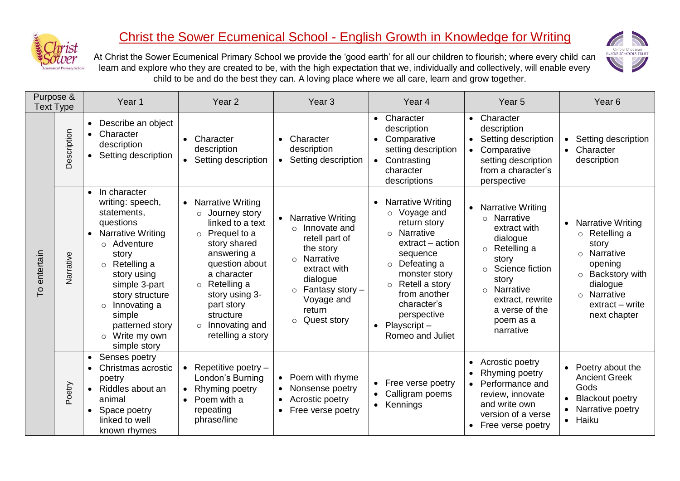

## Christ the Sower Ecumenical School - English Growth in Knowledge for Writing



At Christ the Sower Ecumenical Primary School we provide the 'good earth' for all our children to flourish; where every child can learn and explore who they are created to be, with the high expectation that we, individually and collectively, will enable every child to be and do the best they can. A loving place where we all care, learn and grow together.

| Purpose &<br><b>Text Type</b> |             | Year <sub>1</sub>                                                                                                                                                                                                                                                                                                          | Year <sub>2</sub>                                                                                                                                                                                                                                                                    | Year <sub>3</sub>                                                                                                                                                                                                               | Year <sub>4</sub>                                                                                                                                                                                                                                                                                                     | Year <sub>5</sub>                                                                                                                                                                                                                     | Year <sub>6</sub>                                                                                                                                                                          |
|-------------------------------|-------------|----------------------------------------------------------------------------------------------------------------------------------------------------------------------------------------------------------------------------------------------------------------------------------------------------------------------------|--------------------------------------------------------------------------------------------------------------------------------------------------------------------------------------------------------------------------------------------------------------------------------------|---------------------------------------------------------------------------------------------------------------------------------------------------------------------------------------------------------------------------------|-----------------------------------------------------------------------------------------------------------------------------------------------------------------------------------------------------------------------------------------------------------------------------------------------------------------------|---------------------------------------------------------------------------------------------------------------------------------------------------------------------------------------------------------------------------------------|--------------------------------------------------------------------------------------------------------------------------------------------------------------------------------------------|
| To entertain                  | Description | Describe an object<br>$\bullet$<br>Character<br>$\bullet$<br>description<br>Setting description<br>$\bullet$                                                                                                                                                                                                               | Character<br>$\bullet$<br>description<br>• Setting description                                                                                                                                                                                                                       | Character<br>$\bullet$<br>description<br>Setting description<br>$\bullet$                                                                                                                                                       | Character<br>$\bullet$<br>description<br>Comparative<br>$\bullet$<br>setting description<br>Contrasting<br>$\bullet$<br>character<br>descriptions                                                                                                                                                                     | • Character<br>description<br>Setting description<br>Comparative<br>$\bullet$<br>setting description<br>from a character's<br>perspective                                                                                             | Setting description<br>$\bullet$<br>Character<br>$\bullet$<br>description                                                                                                                  |
|                               | Narrative   | In character<br>$\bullet$<br>writing: speech,<br>statements,<br>questions<br><b>Narrative Writing</b><br>$\bullet$<br>o Adventure<br>story<br>Retelling a<br>$\circ$<br>story using<br>simple 3-part<br>story structure<br>Innovating a<br>$\circ$<br>simple<br>patterned story<br>Write my own<br>$\circ$<br>simple story | • Narrative Writing<br>Journey story<br>$\circ$<br>linked to a text<br>Prequel to a<br>$\circ$<br>story shared<br>answering a<br>question about<br>a character<br>$\circ$ Retelling a<br>story using 3-<br>part story<br>structure<br>Innovating and<br>$\circ$<br>retelling a story | <b>Narrative Writing</b><br>$\bullet$<br>Innovate and<br>retell part of<br>the story<br><b>Narrative</b><br>$\circ$<br>extract with<br>dialogue<br>Fantasy story -<br>$\circ$<br>Voyage and<br>return<br>Quest story<br>$\circ$ | <b>Narrative Writing</b><br>$\bullet$<br>Voyage and<br>$\circ$<br>return story<br><b>Narrative</b><br>$\circ$<br>extract – action<br>sequence<br>Defeating a<br>$\circ$<br>monster story<br>Retell a story<br>$\circ$<br>from another<br>character's<br>perspective<br>$Playscript-$<br>$\bullet$<br>Romeo and Juliet | <b>Narrative Writing</b><br>o Narrative<br>extract with<br>dialogue<br>Retelling a<br>$\circ$<br>story<br>Science fiction<br>$\circ$<br>story<br>Narrative<br>$\circ$<br>extract, rewrite<br>a verse of the<br>poem as a<br>narrative | <b>Narrative Writing</b><br>$\bullet$<br>$\circ$ Retelling a<br>story<br>o Narrative<br>opening<br>o Backstory with<br>dialogue<br>Narrative<br>$\circ$<br>extract – write<br>next chapter |
|                               | Poetry      | Senses poetry<br>$\bullet$<br>Christmas acrostic<br>$\bullet$<br>poetry<br>Riddles about an<br>$\bullet$<br>animal<br>Space poetry<br>$\bullet$<br>linked to well<br>known rhymes                                                                                                                                          | Repetitive poetry -<br>London's Burning<br>Rhyming poetry<br>$\bullet$<br>Poem with a<br>$\bullet$<br>repeating<br>phrase/line                                                                                                                                                       | Poem with rhyme<br>$\bullet$<br>Nonsense poetry<br>$\bullet$<br>Acrostic poetry<br>$\bullet$<br>Free verse poetry                                                                                                               | Free verse poetry<br>$\bullet$<br>Calligram poems<br>$\bullet$<br>Kennings<br>$\bullet$                                                                                                                                                                                                                               | Acrostic poetry<br>$\bullet$<br>Rhyming poetry<br>Performance and<br>review, innovate<br>and write own<br>version of a verse<br>Free verse poetry                                                                                     | Poetry about the<br><b>Ancient Greek</b><br>Gods<br><b>Blackout poetry</b><br>Narrative poetry<br>Haiku<br>$\bullet$                                                                       |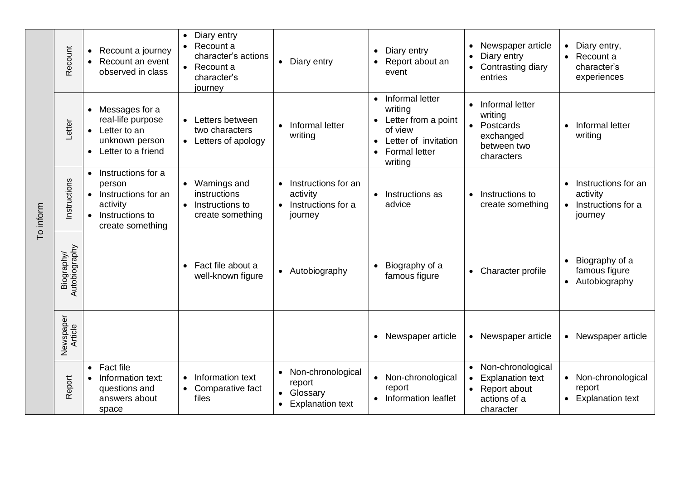| To inform | Recount                     | Recount a journey<br>Recount an event<br>observed in class                                                          | Diary entry<br>$\bullet$<br>Recount a<br>$\bullet$<br>character's actions<br>Recount a<br>$\bullet$<br>character's<br>journey | Diary entry<br>$\bullet$                                                                                  | Diary entry<br>$\bullet$<br>Report about an<br>$\bullet$<br>event                                                                      | Newspaper article<br>$\bullet$<br>Diary entry<br>Contrasting diary<br>$\bullet$<br>entries             | Diary entry,<br>Recount a<br>$\bullet$<br>character's<br>experiences |
|-----------|-----------------------------|---------------------------------------------------------------------------------------------------------------------|-------------------------------------------------------------------------------------------------------------------------------|-----------------------------------------------------------------------------------------------------------|----------------------------------------------------------------------------------------------------------------------------------------|--------------------------------------------------------------------------------------------------------|----------------------------------------------------------------------|
|           | Letter                      | Messages for a<br>real-life purpose<br>Letter to an<br>unknown person<br>Letter to a friend<br>$\bullet$            | Letters between<br>two characters<br>• Letters of apology                                                                     | Informal letter<br>$\bullet$<br>writing                                                                   | Informal letter<br>$\bullet$<br>writing<br>• Letter from a point<br>of view<br>Letter of invitation<br><b>Formal letter</b><br>writing | Informal letter<br>writing<br>Postcards<br>exchanged<br>between two<br>characters                      | Informal letter<br>writing                                           |
|           | Instructions                | Instructions for a<br>$\bullet$<br>person<br>Instructions for an<br>activity<br>Instructions to<br>create something | • Warnings and<br>instructions<br>Instructions to<br>$\bullet$<br>create something                                            | Instructions for an<br>$\bullet$<br>activity<br>Instructions for a<br>$\bullet$<br>journey                | Instructions as<br>advice                                                                                                              | Instructions to<br>$\bullet$<br>create something                                                       | Instructions for an<br>activity<br>Instructions for a<br>journey     |
|           | Autobiography<br>Biography/ |                                                                                                                     | Fact file about a<br>$\bullet$<br>well-known figure                                                                           | • Autobiography                                                                                           | Biography of a<br>famous figure                                                                                                        | • Character profile                                                                                    | Biography of a<br>famous figure<br>Autobiography                     |
|           | Newspaper<br>Article        |                                                                                                                     |                                                                                                                               |                                                                                                           | • Newspaper article                                                                                                                    | • Newspaper article                                                                                    | Newspaper article                                                    |
|           | Report                      | <b>Fact file</b><br>$\bullet$<br>Information text:<br>$\bullet$<br>questions and<br>answers about<br>space          | Information text<br>Comparative fact<br>$\bullet$<br>files                                                                    | Non-chronological<br>$\bullet$<br>report<br>Glossary<br>$\bullet$<br><b>Explanation text</b><br>$\bullet$ | • Non-chronological<br>report<br>• Information leaflet                                                                                 | Non-chronological<br><b>Explanation text</b><br>Report about<br>$\bullet$<br>actions of a<br>character | Non-chronological<br>report<br><b>Explanation text</b>               |